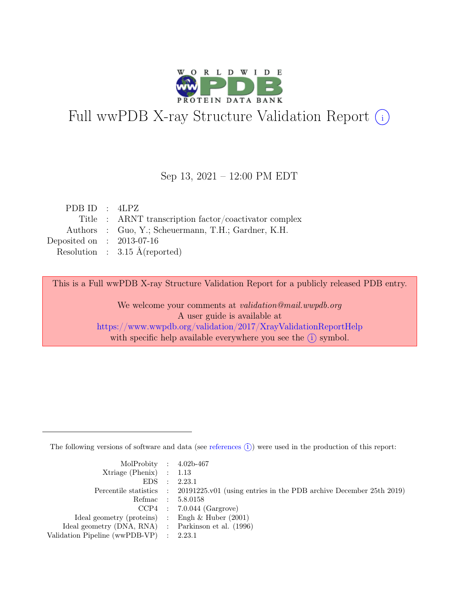

# Full wwPDB X-ray Structure Validation Report  $(i)$

#### Sep 13, 2021 – 12:00 PM EDT

| PDB ID : $4LPZ$                                       |
|-------------------------------------------------------|
| Title : ARNT transcription factor/coactivator complex |
| Authors : Guo, Y.; Scheuermann, T.H.; Gardner, K.H.   |
| Deposited on : $2013-07-16$                           |
| Resolution : $3.15 \text{ Å}$ (reported)              |
|                                                       |

This is a Full wwPDB X-ray Structure Validation Report for a publicly released PDB entry.

We welcome your comments at validation@mail.wwpdb.org A user guide is available at <https://www.wwpdb.org/validation/2017/XrayValidationReportHelp> with specific help available everywhere you see the  $(i)$  symbol.

The following versions of software and data (see [references](https://www.wwpdb.org/validation/2017/XrayValidationReportHelp#references)  $(i)$ ) were used in the production of this report:

| MolProbity : $4.02b-467$                            |                                                                                            |
|-----------------------------------------------------|--------------------------------------------------------------------------------------------|
| $Xtriangle (Phenix)$ : 1.13                         |                                                                                            |
|                                                     | EDS : 2.23.1                                                                               |
|                                                     | Percentile statistics : 20191225.v01 (using entries in the PDB archive December 25th 2019) |
|                                                     | Refmac : 5.8.0158                                                                          |
|                                                     | $CCP4$ : 7.0.044 (Gargrove)                                                                |
| Ideal geometry (proteins) : Engh $\&$ Huber (2001)  |                                                                                            |
| Ideal geometry (DNA, RNA) : Parkinson et al. (1996) |                                                                                            |
| Validation Pipeline (wwPDB-VP) : 2.23.1             |                                                                                            |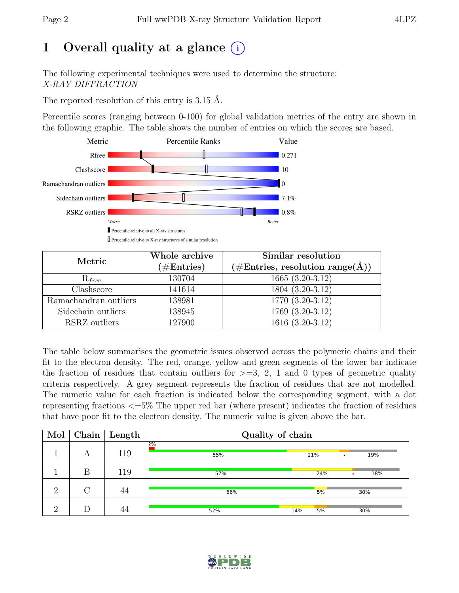# 1 Overall quality at a glance  $(i)$

The following experimental techniques were used to determine the structure: X-RAY DIFFRACTION

The reported resolution of this entry is 3.15 Å.

Percentile scores (ranging between 0-100) for global validation metrics of the entry are shown in the following graphic. The table shows the number of entries on which the scores are based.



| Metric                | Whole archive<br>$(\#Entries)$ | Similar resolution<br>$(\# \text{Entries}, \text{ resolution } \text{range}(\AA))$ |  |
|-----------------------|--------------------------------|------------------------------------------------------------------------------------|--|
| $R_{free}$            | 130704                         | $1665(3.20-3.12)$                                                                  |  |
| Clashscore            | 141614                         | 1804 (3.20-3.12)                                                                   |  |
| Ramachandran outliers | 138981                         | $1770(3.20-3.12)$                                                                  |  |
| Sidechain outliers    | 138945                         | $1769(3.20-3.12)$                                                                  |  |
| RSRZ outliers         | 127900                         | $1616(3.20-3.12)$                                                                  |  |

The table below summarises the geometric issues observed across the polymeric chains and their fit to the electron density. The red, orange, yellow and green segments of the lower bar indicate the fraction of residues that contain outliers for  $\geq$ =3, 2, 1 and 0 types of geometric quality criteria respectively. A grey segment represents the fraction of residues that are not modelled. The numeric value for each fraction is indicated below the corresponding segment, with a dot representing fractions <=5% The upper red bar (where present) indicates the fraction of residues that have poor fit to the electron density. The numeric value is given above the bar.

| Mol      | Chain  | $\vert$ Length | Quality of chain |           |          |
|----------|--------|----------------|------------------|-----------|----------|
|          | А      | 119            | 2%<br>55%        | 21%       | 19%<br>٠ |
|          | B      | 119            | 57%              | 24%       | 18%<br>٠ |
| $\Omega$ | $\cap$ | 44             | 66%              | 5%        | 30%      |
| റ        |        | 44             | 52%              | 5%<br>14% | 30%      |

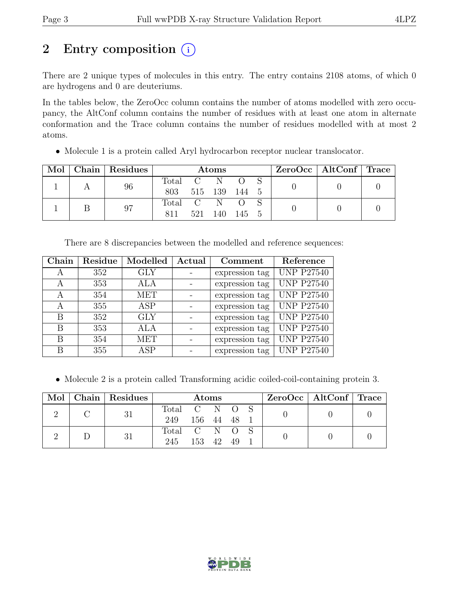# 2 Entry composition  $(i)$

There are 2 unique types of molecules in this entry. The entry contains 2108 atoms, of which 0 are hydrogens and 0 are deuteriums.

In the tables below, the ZeroOcc column contains the number of atoms modelled with zero occupancy, the AltConf column contains the number of residues with at least one atom in alternate conformation and the Trace column contains the number of residues modelled with at most 2 atoms.

|  | Mol   Chain   Residues | Atoms     |     |               |           |  | $ZeroOcc \mid AltConf \mid Trace$ |  |
|--|------------------------|-----------|-----|---------------|-----------|--|-----------------------------------|--|
|  | 96                     | Total C N |     |               |           |  |                                   |  |
|  |                        | 803       |     | 515 139 144 5 |           |  |                                   |  |
|  | 97                     | Total C N |     |               |           |  |                                   |  |
|  |                        | 811       | 521 | 140           | - 145 - 5 |  |                                   |  |

• Molecule 1 is a protein called Aryl hydrocarbon receptor nuclear translocator.

| There are 8 discrepancies between the modelled and reference sequences: |  |  |  |  |  |  |
|-------------------------------------------------------------------------|--|--|--|--|--|--|
|-------------------------------------------------------------------------|--|--|--|--|--|--|

| Chain | Residue | Modelled   | Actual | Comment        | Reference         |
|-------|---------|------------|--------|----------------|-------------------|
| А     | 352     | <b>GLY</b> |        | expression tag | <b>UNP P27540</b> |
| А     | 353     | ALA        |        | expression tag | <b>UNP P27540</b> |
| А     | 354     | MET        |        | expression tag | <b>UNP P27540</b> |
| А     | 355     | ASP        |        | expression tag | <b>UNP P27540</b> |
| В     | 352     | <b>GLY</b> |        | expression tag | <b>UNP P27540</b> |
| В     | 353     | ALA        |        | expression tag | <b>UNP P27540</b> |
| В     | 354     | <b>MET</b> |        | expression tag | <b>UNP P27540</b> |
| В     | 355     | ASP        |        | expression tag | <b>UNP P27540</b> |

• Molecule 2 is a protein called Transforming acidic coiled-coil-containing protein 3.

|  | Mol   Chain   Residues | <b>Atoms</b>  |        |  |      |  | $ZeroOcc \mid AltConf \mid Trace$ |  |
|--|------------------------|---------------|--------|--|------|--|-----------------------------------|--|
|  | 31                     | Total C N O S |        |  |      |  |                                   |  |
|  |                        | 249 156 44 48 |        |  |      |  |                                   |  |
|  | 31                     | Total C N O   |        |  |      |  |                                   |  |
|  |                        | 245           | 153 42 |  | - 49 |  |                                   |  |

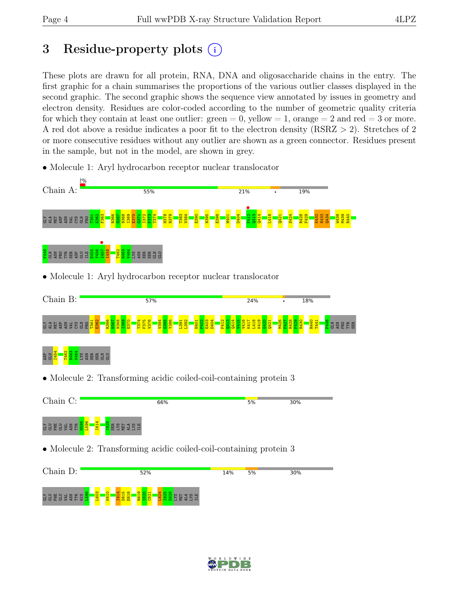# 3 Residue-property plots (i)

These plots are drawn for all protein, RNA, DNA and oligosaccharide chains in the entry. The first graphic for a chain summarises the proportions of the various outlier classes displayed in the second graphic. The second graphic shows the sequence view annotated by issues in geometry and electron density. Residues are color-coded according to the number of geometric quality criteria for which they contain at least one outlier:  $green = 0$ , yellow  $= 1$ , orange  $= 2$  and red  $= 3$  or more. A red dot above a residue indicates a poor fit to the electron density (RSRZ > 2). Stretches of 2 or more consecutive residues without any outlier are shown as a green connector. Residues present in the sample, but not in the model, are shown in grey.



• Molecule 1: Aryl hydrocarbon receptor nuclear translocator

• Molecule 2: Transforming acidic coiled-coil-containing protein 3





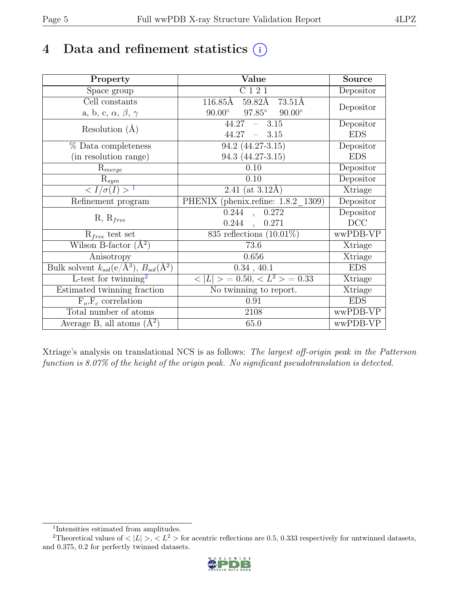# 4 Data and refinement statistics  $(i)$

| Property                                                         | Value                                           | <b>Source</b> |
|------------------------------------------------------------------|-------------------------------------------------|---------------|
| Space group                                                      | C121                                            | Depositor     |
| Cell constants                                                   | 116.85Å<br>59.82Å 73.51Å                        |               |
| a, b, c, $\alpha$ , $\beta$ , $\gamma$                           | $97.85^\circ$<br>$90.00^\circ$<br>$90.00^\circ$ | Depositor     |
| Resolution $(A)$                                                 | $44.27 - 3.15$                                  | Depositor     |
|                                                                  | 44.27<br>$-3.15$                                | <b>EDS</b>    |
| % Data completeness                                              | $94.2 (44.27 - 3.15)$                           | Depositor     |
| (in resolution range)                                            | 94.3 (44.27-3.15)                               | <b>EDS</b>    |
| $R_{merge}$                                                      | 0.10                                            | Depositor     |
| $\mathbf{R}_{sym}$                                               | 0.10                                            | Depositor     |
| $\langle I/\sigma(I)\rangle^{-1}$                                | 2.41 (at $3.12\text{\AA}$ )                     | Xtriage       |
| Refinement program                                               | PHENIX (phenix.refine: 1.8.2 1309)              | Depositor     |
|                                                                  | 0.244<br>0.272<br>$\overline{\phantom{a}}$      | Depositor     |
| $R, R_{free}$                                                    | 0.244,<br>0.271                                 | DCC           |
| $R_{free}$ test set                                              | 835 reflections $(10.01\%)$                     | wwPDB-VP      |
| Wilson B-factor $(A^2)$                                          | 73.6                                            | Xtriage       |
| Anisotropy                                                       | 0.656                                           | Xtriage       |
| Bulk solvent $k_{sol}(\text{e}/\text{A}^3), B_{sol}(\text{A}^2)$ | 0.34, 40.1                                      | <b>EDS</b>    |
| L-test for $\mathrm{twinning}^2$                                 | $< L >$ = 0.50, $< L^2 >$ = 0.33                | Xtriage       |
| Estimated twinning fraction                                      | No twinning to report.                          | Xtriage       |
| $F_o, F_c$ correlation                                           | 0.91                                            | <b>EDS</b>    |
| Total number of atoms                                            | 2108                                            | wwPDB-VP      |
| Average B, all atoms $(A^2)$                                     | 65.0                                            | wwPDB-VP      |

Xtriage's analysis on translational NCS is as follows: The largest off-origin peak in the Patterson function is 8.07% of the height of the origin peak. No significant pseudotranslation is detected.

<sup>&</sup>lt;sup>2</sup>Theoretical values of  $\langle |L| \rangle$ ,  $\langle L^2 \rangle$  for acentric reflections are 0.5, 0.333 respectively for untwinned datasets, and 0.375, 0.2 for perfectly twinned datasets.



<span id="page-4-1"></span><span id="page-4-0"></span><sup>1</sup> Intensities estimated from amplitudes.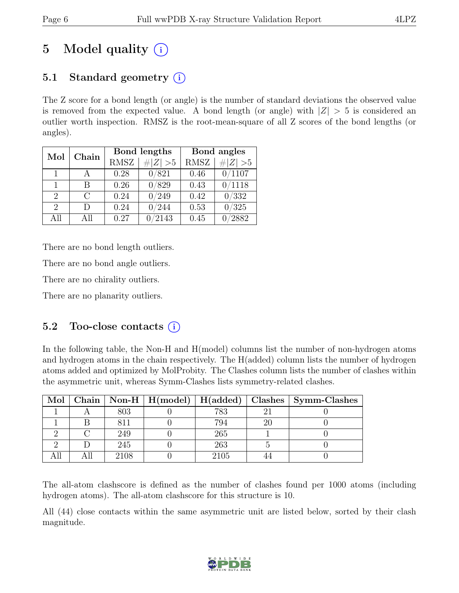# 5 Model quality  $(i)$

# 5.1 Standard geometry  $(i)$

The Z score for a bond length (or angle) is the number of standard deviations the observed value is removed from the expected value. A bond length (or angle) with  $|Z| > 5$  is considered an outlier worth inspection. RMSZ is the root-mean-square of all Z scores of the bond lengths (or angles).

| Chain<br>Mol                |        |             | Bond lengths    | Bond angles |                 |  |
|-----------------------------|--------|-------------|-----------------|-------------|-----------------|--|
|                             |        | <b>RMSZ</b> | $\# Z  > 5$     | <b>RMSZ</b> | # $ Z  > 5$     |  |
| $\overline{1}$              |        | 0.28        | 0/821           | 0.46        | 0/1107          |  |
| 1                           | R      | 0.26        | 0/829           | 0.43        | $^{\prime}1118$ |  |
| $\mathcal{D}_{\mathcal{L}}$ | C      | 0.24        | 0/249           | 0.42        | 0/332           |  |
| $\mathcal{D}_{\mathcal{L}}$ | $\Box$ | 0.24        | 0/244           | 0.53        | 0/325           |  |
| All                         | A 11   | 0.27        | $^{\prime}2143$ | 0.45        | 2882            |  |

There are no bond length outliers.

There are no bond angle outliers.

There are no chirality outliers.

There are no planarity outliers.

### 5.2 Too-close contacts  $(i)$

In the following table, the Non-H and H(model) columns list the number of non-hydrogen atoms and hydrogen atoms in the chain respectively. The H(added) column lists the number of hydrogen atoms added and optimized by MolProbity. The Clashes column lists the number of clashes within the asymmetric unit, whereas Symm-Clashes lists symmetry-related clashes.

| Mol |      |      |   | Chain   Non-H   H(model)   H(added)   Clashes   Symm-Clashes |
|-----|------|------|---|--------------------------------------------------------------|
|     | 803  | 783  | റ |                                                              |
|     |      | 794  |   |                                                              |
|     | 249  | 265  |   |                                                              |
|     | 245  | 263  |   |                                                              |
|     | 2108 | 2105 |   |                                                              |

The all-atom clashscore is defined as the number of clashes found per 1000 atoms (including hydrogen atoms). The all-atom clashscore for this structure is 10.

All (44) close contacts within the same asymmetric unit are listed below, sorted by their clash magnitude.

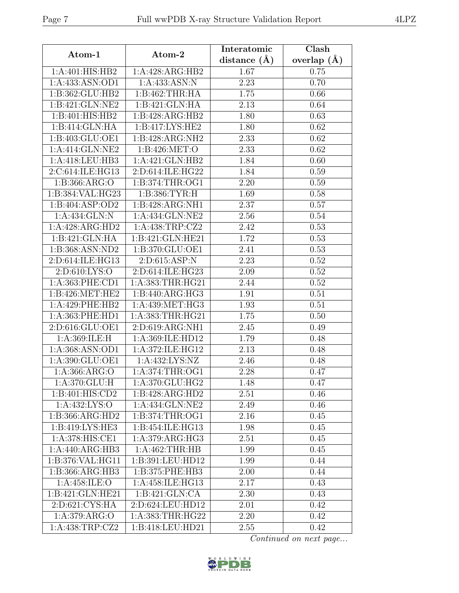| Atom-1                                 | Atom-2                                              | Interatomic      | Clash                  |
|----------------------------------------|-----------------------------------------------------|------------------|------------------------|
|                                        |                                                     | distance $(\AA)$ | overlap $(\AA)$        |
| 1:A:401:HIS:HB2                        | 1:A:428:ARG:HB2                                     | 1.67             | 0.75                   |
| 1:A:433:ASN:OD1                        | 1:A:433:ASN:N                                       | 2.23             | 0.70                   |
| 1:B:362:GLU:HB2                        | 1: B:462:THR:HA                                     | 1.75             | 0.66                   |
| 1:B:421:GLN:NE2                        | 1:B:421:GLN:HA                                      | 2.13             | 0.64                   |
| 1:B:401:HIS:HB2                        | 1:B:428:ARG:HB2                                     | 1.80             | 0.63                   |
| 1:B:414:GLN:HA                         | 1:B:417:LYS:HE2                                     | 1.80             | 0.62                   |
| 1:B:403:GLU:OE1                        | 1:B:428:ARG:NH2                                     | 2.33             | 0.62                   |
| 1:A:414:GLN:NE2                        | 1:B:426:MET:O                                       | 2.33             | 0.62                   |
| 1:A:418:LEU:HB3                        | 1:A:421:GLN:HB2                                     | 1.84             | 0.60                   |
| 2:C:614:ILE:HG13                       | 2:D:614:ILE:HG22                                    | 1.84             | 0.59                   |
| 1: B: 366: ARG: O                      | 1: B: 374: THR: OG1                                 | 2.20             | 0.59                   |
| 1:B:384:VAL:HG23                       | 1:B:386:TYR:H                                       | 1.69             | 0.58                   |
| 1:B:404:ASP:OD2                        | 1:B:428:ARG:NH1                                     | 2.37             | 0.57                   |
| 1:A:434:GLN:N                          | 1:A:434:GLN:NE2                                     | 2.56             | 0.54                   |
| 1:A:428:ARG:HD2                        | 1:A:438:TRP:CZ2                                     | 2.42             | 0.53                   |
| 1:B:421:GLN:HA                         | 1:B:421:GLN:HE21                                    | 1.72             | 0.53                   |
| 1:B:368:ASN:ND2                        | 1:B:370:GLU:OE1                                     | 2.41             | 0.53                   |
| 2:D:614:ILE:HG13                       | 2:D:615:ASP:N                                       | 2.23             | 0.52                   |
| 2:D:610:LYS:O                          | 2:D:614:ILE:HG23                                    | 2.09             | 0.52                   |
| 1:A:363:PHE:CD1                        | 1:A:383:THR:HG21                                    | 2.44             | 0.52                   |
| 1: B:426: MET:HE2                      | 1:B:440:ARG:HG3                                     | 1.91             | 0.51                   |
| 1:A:429:PHE:HB2                        | 1: A:439: MET:HG3                                   | 1.93             | 0.51                   |
| 1:A:363:PHE:HD1                        | 1:A:383:THR:HG21                                    | 1.75             | 0.50                   |
| 2:D:616:GLU:OE1                        | 2:D:619:ARG:NH1                                     | 2.45             | 0.49                   |
| 1:A:369:ILE:H                          | 1:A:369:ILE:HD12                                    | 1.79             | 0.48                   |
| 1: A: 368: ASN: O <sub>D1</sub>        | 1:A:372:ILE:HG12                                    | 2.13             | 0.48                   |
| 1:A:390:GLU:OE1                        | $1:A:432:\overline{\text{LYS:NZ}}$                  | 2.46             | 0.48                   |
| 1: A: 366: ARG: O                      | 1: A:374:THR:OG1                                    | 2.28             | 0.47                   |
| 1: A:370: GLU: H                       | 1:A:370:GLU:HG2                                     | 1.48             | 0.47                   |
| 1:B:401:HIS:CD2                        | 1:B:428:ARG:HD2                                     | 2.51             | 0.46                   |
| 1:A:432:LYS:O                          | 1:A:434:GLN:NE2                                     | 2.49             | 0.46                   |
| 1:B:366:ARG:HD2                        | 1:B:374:THR:OG1                                     | 2.16             | 0.45                   |
| 1:B:419:LYS:HE3                        | 1:B:454:ILE:HG13                                    | 1.98             | 0.45                   |
| 1:A:378:HIS:CE1                        | 1:A:379:ARG:HG3                                     | 2.51             | 0.45                   |
| 1:A:440:ARG:HB3                        | 1: A:462:THR:HB                                     | 1.99             | 0.45                   |
| 1:B:376:VAL:HG11                       | 1:B:391:LEU:HD12                                    | 1.99             | 0.44                   |
| $1:B:366:A\overline{RG:H}B3$           | 1:B:375:PHE:HB3                                     | 2.00             | 0.44                   |
| 1:A:458:ILE:O                          | 1:A:458:ILE:HG13                                    | 2.17             | 0.43                   |
| 1:B:421:GLN:HE21                       | 1:B:421:GLN:CA                                      | 2.30             | 0.43                   |
| $2:D:62\overline{1:C}Y\overline{S:HA}$ | 2:D:624:LEU:HD12                                    | 2.01             | 0.42                   |
| 1: A:379: ARG:O                        | $1:\overline{A}:383:\overline{THR}:\overline{H}G22$ | 2.20             | 0.42                   |
| 1:A:438:TRP:CZ2                        | 1:B:418:LEU:HD21                                    | 2.55             | 0.42                   |
|                                        |                                                     |                  | Continued on next page |

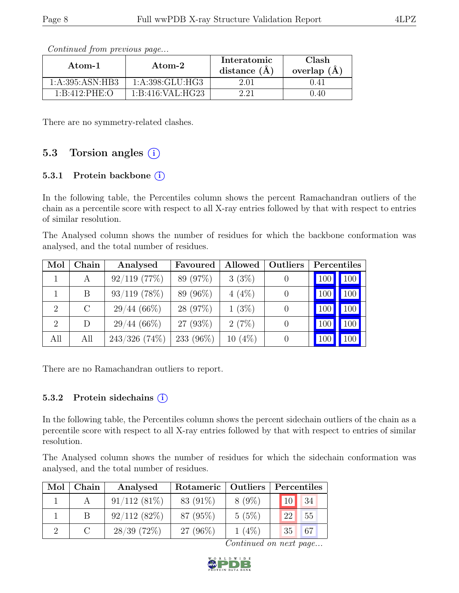| Atom-1            | Atom-2              | Interatomic<br>distance $(\AA)$ | Clash<br>overlap $(A)$ |  |
|-------------------|---------------------|---------------------------------|------------------------|--|
| 1: A:395: ASN:HB3 | 1: A: 398: GLU: HG3 | 2.01                            | 0.41                   |  |
| 1:B:412:PHE:O     | 1: B:416: VAL: HG23 |                                 | ).40                   |  |

Continued from previous page...

There are no symmetry-related clashes.

### 5.3 Torsion angles  $(i)$

#### 5.3.1 Protein backbone  $(i)$

In the following table, the Percentiles column shows the percent Ramachandran outliers of the chain as a percentile score with respect to all X-ray entries followed by that with respect to entries of similar resolution.

The Analysed column shows the number of residues for which the backbone conformation was analysed, and the total number of residues.

| Mol            | Chain   | Analysed         | Favoured  | Allowed   | <b>Outliers</b> | Percentiles    |     |
|----------------|---------|------------------|-----------|-----------|-----------------|----------------|-----|
|                | A       | $92/119$ (77\%)  | 89 (97%)  | 3(3%)     |                 | <sup>100</sup> | 100 |
|                | B       | $93/119$ (78%)   | 89 (96%)  | $4(4\%)$  |                 | $\mid$ 100     | 100 |
| 2              | $\rm C$ | $29/44~(66\%)$   | 28 (97%)  | $1(3\%)$  |                 | <sup>100</sup> | 100 |
| $\overline{2}$ | D       | $29/44~(66\%)$   | 27 (93%)  | 2(7%)     |                 | 100            | 100 |
| All            | All     | $243/326$ (74\%) | 233 (96%) | $10(4\%)$ |                 |                | 100 |

There are no Ramachandran outliers to report.

#### 5.3.2 Protein sidechains  $(i)$

In the following table, the Percentiles column shows the percent sidechain outliers of the chain as a percentile score with respect to all X-ray entries followed by that with respect to entries of similar resolution.

The Analysed column shows the number of residues for which the sidechain conformation was analysed, and the total number of residues.

| Mol | Chain | Analysed       | Rotameric   Outliers |          | Percentiles |    |
|-----|-------|----------------|----------------------|----------|-------------|----|
|     |       | $91/112(81\%)$ | 83 (91\%)            | $8(9\%)$ | 10          | 34 |
|     |       | 92/112(82%)    | 87 (95%)             | 5(5%)    | 22          | 55 |
|     |       | $28/39$ (72\%) | $27(96\%)$           | $1(4\%)$ | 35          | 67 |

Continued on next page...

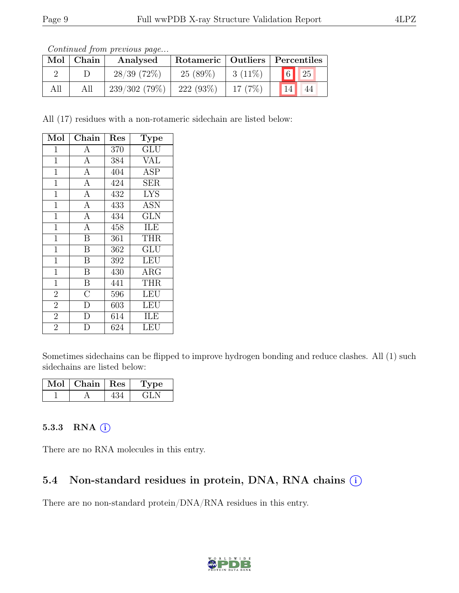|     | Contentaca from precious page |                |                                    |           |                 |                |  |  |
|-----|-------------------------------|----------------|------------------------------------|-----------|-----------------|----------------|--|--|
|     | $Mol$   Chain                 | Analysed       | Rotameric   Outliers   Percentiles |           |                 |                |  |  |
|     |                               | $28/39$ (72\%) | $25(89\%)$                         | $3(11\%)$ |                 | $\boxed{6}$ 25 |  |  |
| All | All                           | 239/302(79%)   | 222(93%)                           | 17(7%)    | 14 <sup>1</sup> | -44            |  |  |

Continued from previous page.

All (17) residues with a non-rotameric sidechain are listed below:

| Mol            | Chain                   | Res | Type                    |
|----------------|-------------------------|-----|-------------------------|
| $\mathbf{1}$   | $\boldsymbol{A}$        | 370 | $\overline{\text{GLU}}$ |
| $\mathbf{1}$   | $\overline{A}$          | 384 | <b>VAL</b>              |
| $\mathbf{1}$   | $\overline{A}$          | 404 | $\overline{\text{ASP}}$ |
| $\mathbf{1}$   | $\overline{A}$          | 424 | <b>SER</b>              |
| $\mathbf{1}$   | $\mathbf{A}$            | 432 | <b>LYS</b>              |
| $\mathbf{1}$   | $\overline{A}$          | 433 | <b>ASN</b>              |
| $\mathbf{1}$   | $\overline{A}$          | 434 | <b>GLN</b>              |
| $\overline{1}$ | $\overline{A}$          | 458 | ILE                     |
| $\mathbf{1}$   | $\overline{B}$          | 361 | <b>THR</b>              |
| $\mathbf{1}$   | $\overline{B}$          | 362 | GLU                     |
| $\mathbf 1$    | $\overline{B}$          | 392 | <b>LEU</b>              |
| $\mathbf{1}$   | $\overline{\mathbf{B}}$ | 430 | <b>ARG</b>              |
| $\overline{1}$ | $\overline{\mathrm{B}}$ | 441 | <b>THR</b>              |
| $\overline{2}$ | $\overline{\rm C}$      | 596 | LEU                     |
| $\overline{2}$ | $\overline{\rm D}$      | 603 | LEU                     |
| $\overline{2}$ | D                       | 614 | ILE                     |
| $\overline{2}$ | D                       | 624 | LEU                     |

Sometimes sidechains can be flipped to improve hydrogen bonding and reduce clashes. All (1) such sidechains are listed below:

| Mol | Chain | Res | 'pe |
|-----|-------|-----|-----|
|     |       |     |     |

#### 5.3.3 RNA  $(i)$

There are no RNA molecules in this entry.

## 5.4 Non-standard residues in protein, DNA, RNA chains  $(i)$

There are no non-standard protein/DNA/RNA residues in this entry.

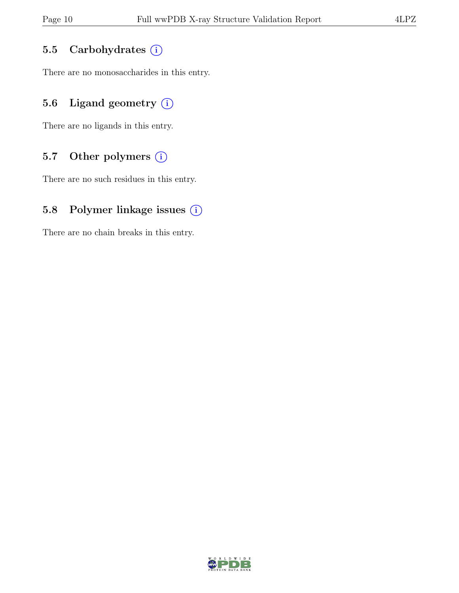### 5.5 Carbohydrates (i)

There are no monosaccharides in this entry.

### 5.6 Ligand geometry  $(i)$

There are no ligands in this entry.

#### 5.7 Other polymers (i)

There are no such residues in this entry.

#### 5.8 Polymer linkage issues (i)

There are no chain breaks in this entry.